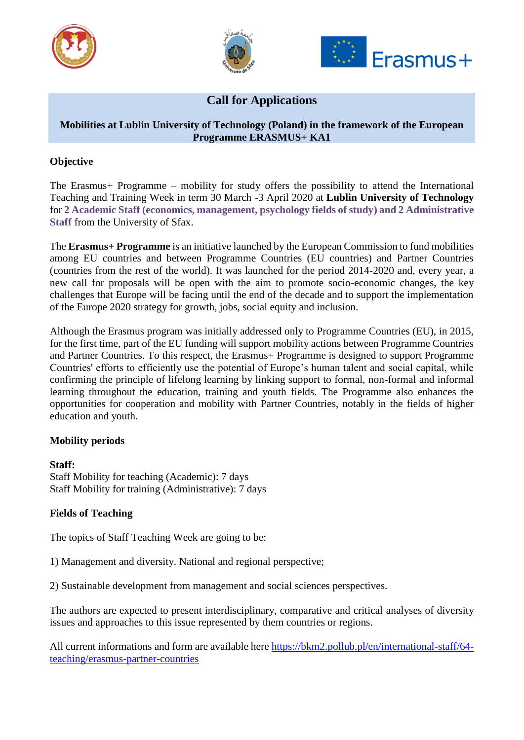





# **Call for Applications**

# **Mobilities at Lublin University of Technology (Poland) in the framework of the European Programme ERASMUS+ KA1**

# **Objective**

The Erasmus+ Programme – mobility for study offers the possibility to attend the International Teaching and Training Week in term 30 March -3 April 2020 at **Lublin University of Technology** for **2 Academic Staff (economics, management, psychology fields of study) and 2 Administrative Staff** from the University of Sfax.

The **Erasmus+ Programme** is an initiative launched by the European Commission to fund mobilities among EU countries and between Programme Countries (EU countries) and Partner Countries (countries from the rest of the world). It was launched for the period 2014-2020 and, every year, a new call for proposals will be open with the aim to promote socio-economic changes, the key challenges that Europe will be facing until the end of the decade and to support the implementation of the Europe 2020 strategy for growth, jobs, social equity and inclusion.

Although the Erasmus program was initially addressed only to Programme Countries (EU), in 2015, for the first time, part of the EU funding will support mobility actions between Programme Countries and Partner Countries. To this respect, the Erasmus+ Programme is designed to support Programme Countries' efforts to efficiently use the potential of Europe's human talent and social capital, while confirming the principle of lifelong learning by linking support to formal, non-formal and informal learning throughout the education, training and youth fields. The Programme also enhances the opportunities for cooperation and mobility with Partner Countries, notably in the fields of higher education and youth.

# **Mobility periods**

**Staff:** Staff Mobility for teaching (Academic): 7 days Staff Mobility for training (Administrative): 7 days

# **Fields of Teaching**

The topics of Staff Teaching Week are going to be:

1) Management and diversity. National and regional perspective;

2) Sustainable development from management and social sciences perspectives.

The authors are expected to present interdisciplinary, comparative and critical analyses of diversity issues and approaches to this issue represented by them countries or regions.

All current informations and form are available here [https://bkm2.pollub.pl/en/international-staff/64](https://bkm2.pollub.pl/en/international-staff/64-teaching/erasmus-partner-countries) [teaching/erasmus-partner-countries](https://bkm2.pollub.pl/en/international-staff/64-teaching/erasmus-partner-countries)